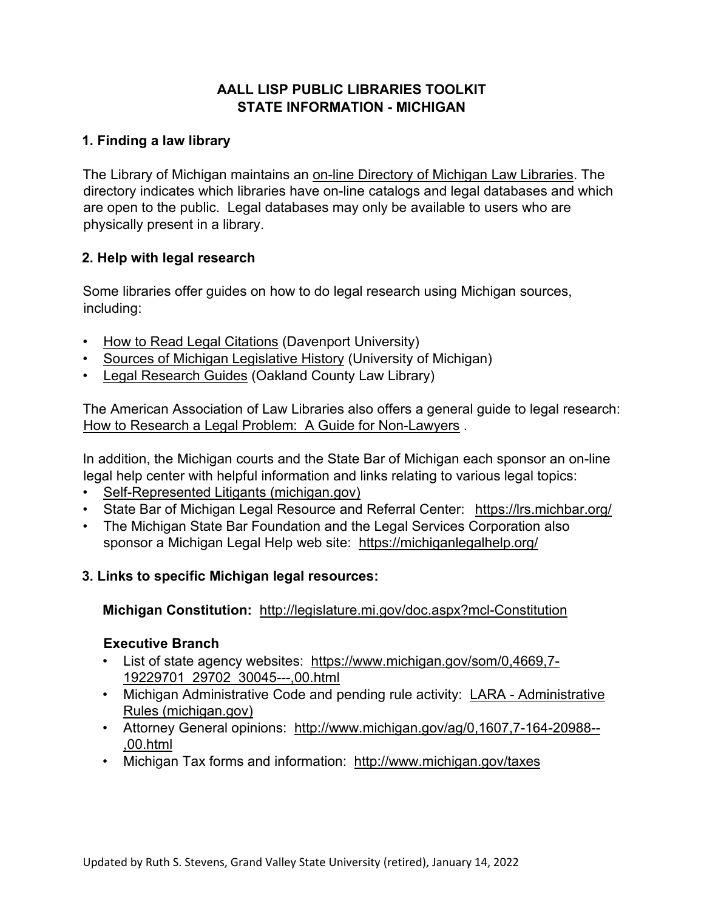# **AALL LISP PUBLIC LIBRARIES TOOLKIT STATE INFORMATION - MICHIGAN**

# **1. Finding a law library**

The Library of Michigan maintains an [on-line Directory of Michigan Law Libraries.](https://www.michigan.gov/libraryofmichigan/0,9327,7-381-88854_89989_89990-52451--,00.html) The directory indicates which libraries have on-line catalogs and legal databases and which are open to the public. Legal databases may only be available to users who are physically present in a library.

### **2. Help with legal research**

Some libraries offer guides on how to do legal research using Michigan sources, including:

- [How to Read Legal Citations](https://davenport.libguides.com/legal) [\(](https://davenport.libguides.com/legal)Davenport University)
- [Sources of Michigan Legislative History](http://libguides.law.umich.edu/milegishist) (University of Michigan)
- [Legal Research Guides](https://www.oakgov.com/lrc/resources/self-help-legal-assistance/Pages/legal-research-guides.aspx) (Oakland County Law Library)

The American Association of Law Libraries also offers a general guide to legal research: [How to Research a Legal Problem: A Guide for Non-Lawyers](https://www.aallnet.org/wp-content/uploads/2018/01/HowToResearchLegalProblemFinal_2014.pdf) [.](https://www.aallnet.org/wp-content/uploads/2018/01/HowToResearchLegalProblemFinal_2014.pdf)

In addition, the Michigan courts and the State Bar of Michigan each sponsor an on-line legal help center with helpful information and links relating to various legal topics:

- [Self-Represented Litigants \(michigan.gov\)](https://www.courts.michigan.gov/resources-for/the-public/self-represented-litigants/)
- State Bar of Michigan Legal Resource and Referral Center:<https://lrs.michbar.org/>
- The Michigan State Bar Foundation and the Legal Services Corporation also sponsor a Michigan Legal Help web site: <https://michiganlegalhelp.org/>

# **3. Links to specific Michigan legal resources:**

#### **Michigan Constitution:** <http://legislature.mi.gov/doc.aspx?mcl-Constitution>

# **Executive Branch**

- List of state agency websites: [https://www.michigan.gov/som/0,4669,7-](https://www.michigan.gov/som/0,4669,7-192-29701_29702_30045---,00.html) [19229701\\_29702\\_30045---,00.html](https://www.michigan.gov/som/0,4669,7-192-29701_29702_30045---,00.html)
- Michigan [Administrative](https://www.michigan.gov/lara/0,4601,7-154-89334_10576_92306---,00.html) Code and pending rule activity: LARA Administrative [Rules \(michigan.gov\)](https://www.michigan.gov/lara/0,4601,7-154-89334_10576_92306---,00.html)
- Attorney General opinions: [http://www.michigan.gov/ag/0,1607,7-164-20988--](http://www.michigan.gov/ag/0,1607,7-164-20988---,00.html) [,00.html](http://www.michigan.gov/ag/0,1607,7-164-20988---,00.html)
- Michigan Tax forms and information:<http://www.michigan.gov/taxes>